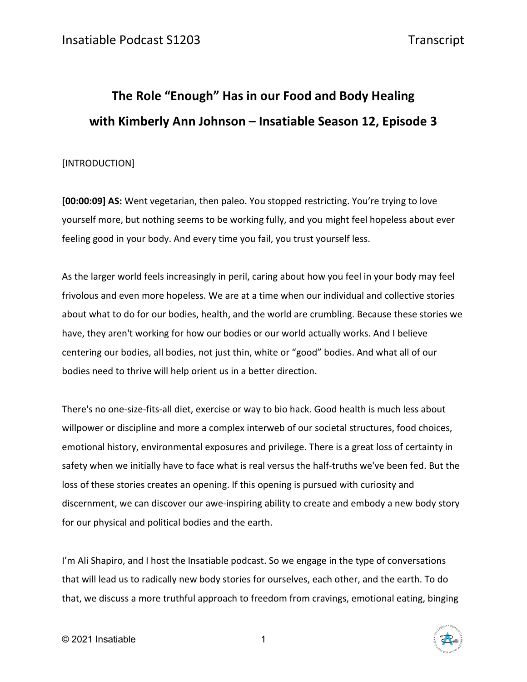# **The Role "Enough" Has in our Food and Body Healing with Kimberly Ann Johnson – Insatiable Season 12, Episode 3**

#### [INTRODUCTION]

**[00:00:09] AS:** Went vegetarian, then paleo. You stopped restricting. You're trying to love yourself more, but nothing seems to be working fully, and you might feel hopeless about ever feeling good in your body. And every time you fail, you trust yourself less.

As the larger world feels increasingly in peril, caring about how you feel in your body may feel frivolous and even more hopeless. We are at a time when our individual and collective stories about what to do for our bodies, health, and the world are crumbling. Because these stories we have, they aren't working for how our bodies or our world actually works. And I believe centering our bodies, all bodies, not just thin, white or "good" bodies. And what all of our bodies need to thrive will help orient us in a better direction.

There's no one-size-fits-all diet, exercise or way to bio hack. Good health is much less about willpower or discipline and more a complex interweb of our societal structures, food choices, emotional history, environmental exposures and privilege. There is a great loss of certainty in safety when we initially have to face what is real versus the half-truths we've been fed. But the loss of these stories creates an opening. If this opening is pursued with curiosity and discernment, we can discover our awe-inspiring ability to create and embody a new body story for our physical and political bodies and the earth.

I'm Ali Shapiro, and I host the Insatiable podcast. So we engage in the type of conversations that will lead us to radically new body stories for ourselves, each other, and the earth. To do that, we discuss a more truthful approach to freedom from cravings, emotional eating, binging

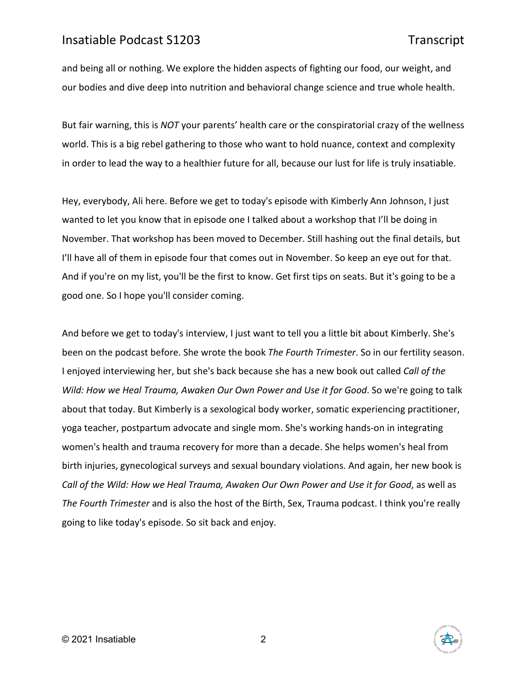and being all or nothing. We explore the hidden aspects of fighting our food, our weight, and our bodies and dive deep into nutrition and behavioral change science and true whole health.

But fair warning, this is *NOT* your parents' health care or the conspiratorial crazy of the wellness world. This is a big rebel gathering to those who want to hold nuance, context and complexity in order to lead the way to a healthier future for all, because our lust for life is truly insatiable.

Hey, everybody, Ali here. Before we get to today's episode with Kimberly Ann Johnson, I just wanted to let you know that in episode one I talked about a workshop that I'll be doing in November. That workshop has been moved to December. Still hashing out the final details, but I'll have all of them in episode four that comes out in November. So keep an eye out for that. And if you're on my list, you'll be the first to know. Get first tips on seats. But it's going to be a good one. So I hope you'll consider coming.

And before we get to today's interview, I just want to tell you a little bit about Kimberly. She's been on the podcast before. She wrote the book *The Fourth Trimester*. So in our fertility season. I enjoyed interviewing her, but she's back because she has a new book out called *Call of the Wild: How we Heal Trauma, Awaken Our Own Power and Use it for Good*. So we're going to talk about that today. But Kimberly is a sexological body worker, somatic experiencing practitioner, yoga teacher, postpartum advocate and single mom. She's working hands-on in integrating women's health and trauma recovery for more than a decade. She helps women's heal from birth injuries, gynecological surveys and sexual boundary violations. And again, her new book is *Call of the Wild: How we Heal Trauma, Awaken Our Own Power and Use it for Good*, as well as *The Fourth Trimester* and is also the host of the Birth, Sex, Trauma podcast. I think you're really going to like today's episode. So sit back and enjoy.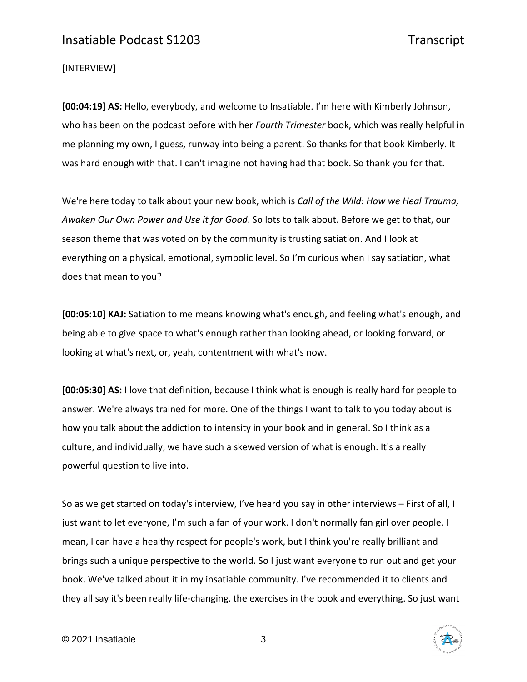#### [INTERVIEW]

**[00:04:19] AS:** Hello, everybody, and welcome to Insatiable. I'm here with Kimberly Johnson, who has been on the podcast before with her *Fourth Trimester* book, which was really helpful in me planning my own, I guess, runway into being a parent. So thanks for that book Kimberly. It was hard enough with that. I can't imagine not having had that book. So thank you for that.

We're here today to talk about your new book, which is *Call of the Wild: How we Heal Trauma, Awaken Our Own Power and Use it for Good*. So lots to talk about. Before we get to that, our season theme that was voted on by the community is trusting satiation. And I look at everything on a physical, emotional, symbolic level. So I'm curious when I say satiation, what does that mean to you?

**[00:05:10] KAJ:** Satiation to me means knowing what's enough, and feeling what's enough, and being able to give space to what's enough rather than looking ahead, or looking forward, or looking at what's next, or, yeah, contentment with what's now.

**[00:05:30] AS:** I love that definition, because I think what is enough is really hard for people to answer. We're always trained for more. One of the things I want to talk to you today about is how you talk about the addiction to intensity in your book and in general. So I think as a culture, and individually, we have such a skewed version of what is enough. It's a really powerful question to live into.

So as we get started on today's interview, I've heard you say in other interviews – First of all, I just want to let everyone, I'm such a fan of your work. I don't normally fan girl over people. I mean, I can have a healthy respect for people's work, but I think you're really brilliant and brings such a unique perspective to the world. So I just want everyone to run out and get your book. We've talked about it in my insatiable community. I've recommended it to clients and they all say it's been really life-changing, the exercises in the book and everything. So just want

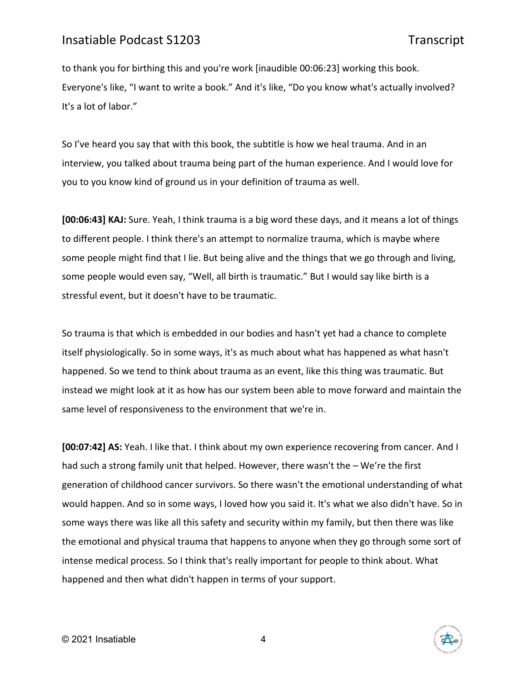to thank you for birthing this and you're work [inaudible 00:06:23] working this book. Everyone's like, "I want to write a book." And it's like, "Do you know what's actually involved? It's a lot of labor."

So I've heard you say that with this book, the subtitle is how we heal trauma. And in an interview, you talked about trauma being part of the human experience. And I would love for you to you know kind of ground us in your definition of trauma as well.

**[00:06:43] KAJ:** Sure. Yeah, I think trauma is a big word these days, and it means a lot of things to different people. I think there's an attempt to normalize trauma, which is maybe where some people might find that I lie. But being alive and the things that we go through and living, some people would even say, "Well, all birth is traumatic." But I would say like birth is a stressful event, but it doesn't have to be traumatic.

So trauma is that which is embedded in our bodies and hasn't yet had a chance to complete itself physiologically. So in some ways, it's as much about what has happened as what hasn't happened. So we tend to think about trauma as an event, like this thing was traumatic. But instead we might look at it as how has our system been able to move forward and maintain the same level of responsiveness to the environment that we're in.

**[00:07:42] AS:** Yeah. I like that. I think about my own experience recovering from cancer. And I had such a strong family unit that helped. However, there wasn't the – We're the first generation of childhood cancer survivors. So there wasn't the emotional understanding of what would happen. And so in some ways, I loved how you said it. It's what we also didn't have. So in some ways there was like all this safety and security within my family, but then there was like the emotional and physical trauma that happens to anyone when they go through some sort of intense medical process. So I think that's really important for people to think about. What happened and then what didn't happen in terms of your support.

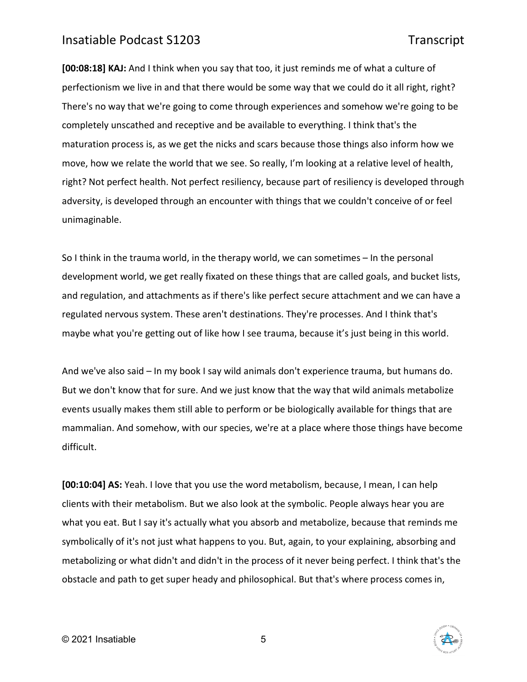**[00:08:18] KAJ:** And I think when you say that too, it just reminds me of what a culture of perfectionism we live in and that there would be some way that we could do it all right, right? There's no way that we're going to come through experiences and somehow we're going to be completely unscathed and receptive and be available to everything. I think that's the maturation process is, as we get the nicks and scars because those things also inform how we move, how we relate the world that we see. So really, I'm looking at a relative level of health, right? Not perfect health. Not perfect resiliency, because part of resiliency is developed through adversity, is developed through an encounter with things that we couldn't conceive of or feel unimaginable.

So I think in the trauma world, in the therapy world, we can sometimes – In the personal development world, we get really fixated on these things that are called goals, and bucket lists, and regulation, and attachments as if there's like perfect secure attachment and we can have a regulated nervous system. These aren't destinations. They're processes. And I think that's maybe what you're getting out of like how I see trauma, because it's just being in this world.

And we've also said – In my book I say wild animals don't experience trauma, but humans do. But we don't know that for sure. And we just know that the way that wild animals metabolize events usually makes them still able to perform or be biologically available for things that are mammalian. And somehow, with our species, we're at a place where those things have become difficult.

**[00:10:04] AS:** Yeah. I love that you use the word metabolism, because, I mean, I can help clients with their metabolism. But we also look at the symbolic. People always hear you are what you eat. But I say it's actually what you absorb and metabolize, because that reminds me symbolically of it's not just what happens to you. But, again, to your explaining, absorbing and metabolizing or what didn't and didn't in the process of it never being perfect. I think that's the obstacle and path to get super heady and philosophical. But that's where process comes in,

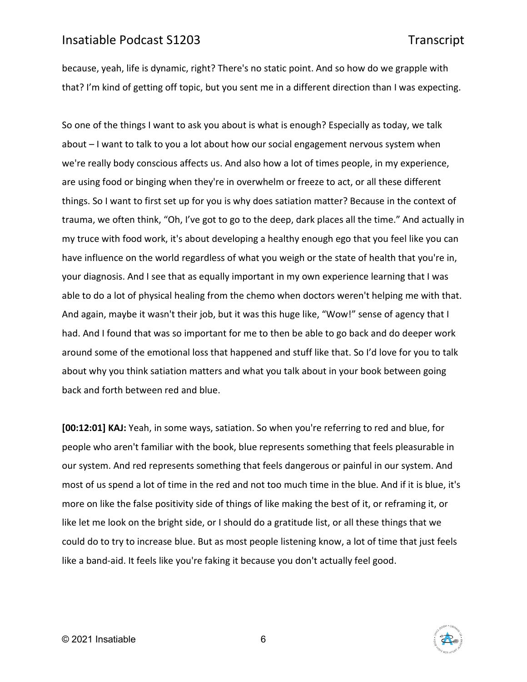because, yeah, life is dynamic, right? There's no static point. And so how do we grapple with that? I'm kind of getting off topic, but you sent me in a different direction than I was expecting.

So one of the things I want to ask you about is what is enough? Especially as today, we talk about – I want to talk to you a lot about how our social engagement nervous system when we're really body conscious affects us. And also how a lot of times people, in my experience, are using food or binging when they're in overwhelm or freeze to act, or all these different things. So I want to first set up for you is why does satiation matter? Because in the context of trauma, we often think, "Oh, I've got to go to the deep, dark places all the time." And actually in my truce with food work, it's about developing a healthy enough ego that you feel like you can have influence on the world regardless of what you weigh or the state of health that you're in, your diagnosis. And I see that as equally important in my own experience learning that I was able to do a lot of physical healing from the chemo when doctors weren't helping me with that. And again, maybe it wasn't their job, but it was this huge like, "Wow!" sense of agency that I had. And I found that was so important for me to then be able to go back and do deeper work around some of the emotional loss that happened and stuff like that. So I'd love for you to talk about why you think satiation matters and what you talk about in your book between going back and forth between red and blue.

**[00:12:01] KAJ:** Yeah, in some ways, satiation. So when you're referring to red and blue, for people who aren't familiar with the book, blue represents something that feels pleasurable in our system. And red represents something that feels dangerous or painful in our system. And most of us spend a lot of time in the red and not too much time in the blue. And if it is blue, it's more on like the false positivity side of things of like making the best of it, or reframing it, or like let me look on the bright side, or I should do a gratitude list, or all these things that we could do to try to increase blue. But as most people listening know, a lot of time that just feels like a band-aid. It feels like you're faking it because you don't actually feel good.

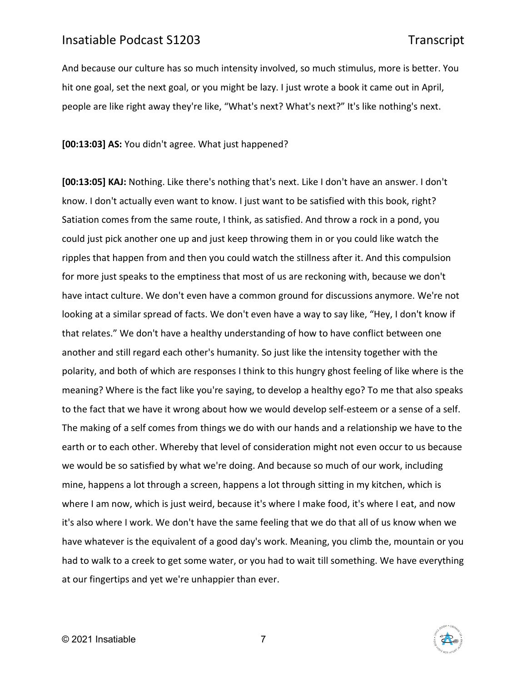And because our culture has so much intensity involved, so much stimulus, more is better. You hit one goal, set the next goal, or you might be lazy. I just wrote a book it came out in April, people are like right away they're like, "What's next? What's next?" It's like nothing's next.

**[00:13:03] AS:** You didn't agree. What just happened?

**[00:13:05] KAJ:** Nothing. Like there's nothing that's next. Like I don't have an answer. I don't know. I don't actually even want to know. I just want to be satisfied with this book, right? Satiation comes from the same route, I think, as satisfied. And throw a rock in a pond, you could just pick another one up and just keep throwing them in or you could like watch the ripples that happen from and then you could watch the stillness after it. And this compulsion for more just speaks to the emptiness that most of us are reckoning with, because we don't have intact culture. We don't even have a common ground for discussions anymore. We're not looking at a similar spread of facts. We don't even have a way to say like, "Hey, I don't know if that relates." We don't have a healthy understanding of how to have conflict between one another and still regard each other's humanity. So just like the intensity together with the polarity, and both of which are responses I think to this hungry ghost feeling of like where is the meaning? Where is the fact like you're saying, to develop a healthy ego? To me that also speaks to the fact that we have it wrong about how we would develop self-esteem or a sense of a self. The making of a self comes from things we do with our hands and a relationship we have to the earth or to each other. Whereby that level of consideration might not even occur to us because we would be so satisfied by what we're doing. And because so much of our work, including mine, happens a lot through a screen, happens a lot through sitting in my kitchen, which is where I am now, which is just weird, because it's where I make food, it's where I eat, and now it's also where I work. We don't have the same feeling that we do that all of us know when we have whatever is the equivalent of a good day's work. Meaning, you climb the, mountain or you had to walk to a creek to get some water, or you had to wait till something. We have everything at our fingertips and yet we're unhappier than ever.

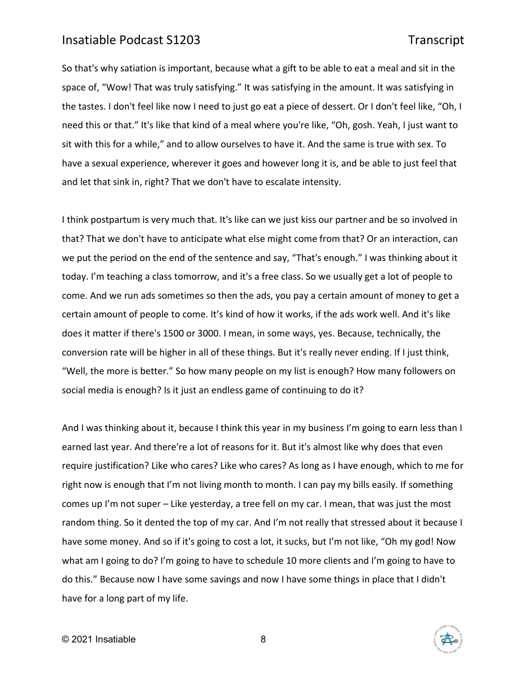So that's why satiation is important, because what a gift to be able to eat a meal and sit in the space of, "Wow! That was truly satisfying." It was satisfying in the amount. It was satisfying in the tastes. I don't feel like now I need to just go eat a piece of dessert. Or I don't feel like, "Oh, I need this or that." It's like that kind of a meal where you're like, "Oh, gosh. Yeah, I just want to sit with this for a while," and to allow ourselves to have it. And the same is true with sex. To have a sexual experience, wherever it goes and however long it is, and be able to just feel that and let that sink in, right? That we don't have to escalate intensity.

I think postpartum is very much that. It's like can we just kiss our partner and be so involved in that? That we don't have to anticipate what else might come from that? Or an interaction, can we put the period on the end of the sentence and say, "That's enough." I was thinking about it today. I'm teaching a class tomorrow, and it's a free class. So we usually get a lot of people to come. And we run ads sometimes so then the ads, you pay a certain amount of money to get a certain amount of people to come. It's kind of how it works, if the ads work well. And it's like does it matter if there's 1500 or 3000. I mean, in some ways, yes. Because, technically, the conversion rate will be higher in all of these things. But it's really never ending. If I just think, "Well, the more is better." So how many people on my list is enough? How many followers on social media is enough? Is it just an endless game of continuing to do it?

And I was thinking about it, because I think this year in my business I'm going to earn less than I earned last year. And there're a lot of reasons for it. But it's almost like why does that even require justification? Like who cares? Like who cares? As long as I have enough, which to me for right now is enough that I'm not living month to month. I can pay my bills easily. If something comes up I'm not super – Like yesterday, a tree fell on my car. I mean, that was just the most random thing. So it dented the top of my car. And I'm not really that stressed about it because I have some money. And so if it's going to cost a lot, it sucks, but I'm not like, "Oh my god! Now what am I going to do? I'm going to have to schedule 10 more clients and I'm going to have to do this." Because now I have some savings and now I have some things in place that I didn't have for a long part of my life.

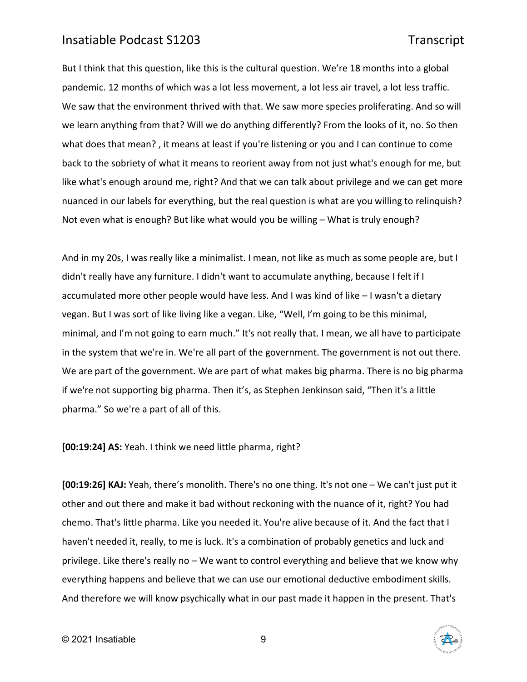But I think that this question, like this is the cultural question. We're 18 months into a global pandemic. 12 months of which was a lot less movement, a lot less air travel, a lot less traffic. We saw that the environment thrived with that. We saw more species proliferating. And so will we learn anything from that? Will we do anything differently? From the looks of it, no. So then what does that mean? , it means at least if you're listening or you and I can continue to come back to the sobriety of what it means to reorient away from not just what's enough for me, but like what's enough around me, right? And that we can talk about privilege and we can get more nuanced in our labels for everything, but the real question is what are you willing to relinquish? Not even what is enough? But like what would you be willing – What is truly enough?

And in my 20s, I was really like a minimalist. I mean, not like as much as some people are, but I didn't really have any furniture. I didn't want to accumulate anything, because I felt if I accumulated more other people would have less. And I was kind of like – I wasn't a dietary vegan. But I was sort of like living like a vegan. Like, "Well, I'm going to be this minimal, minimal, and I'm not going to earn much." It's not really that. I mean, we all have to participate in the system that we're in. We're all part of the government. The government is not out there. We are part of the government. We are part of what makes big pharma. There is no big pharma if we're not supporting big pharma. Then it's, as Stephen Jenkinson said, "Then it's a little pharma." So we're a part of all of this.

**[00:19:24] AS:** Yeah. I think we need little pharma, right?

**[00:19:26] KAJ:** Yeah, there's monolith. There's no one thing. It's not one – We can't just put it other and out there and make it bad without reckoning with the nuance of it, right? You had chemo. That's little pharma. Like you needed it. You're alive because of it. And the fact that I haven't needed it, really, to me is luck. It's a combination of probably genetics and luck and privilege. Like there's really no – We want to control everything and believe that we know why everything happens and believe that we can use our emotional deductive embodiment skills. And therefore we will know psychically what in our past made it happen in the present. That's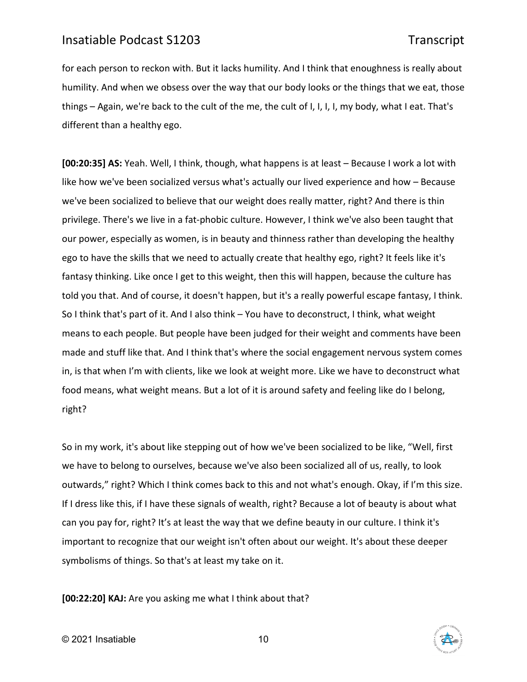for each person to reckon with. But it lacks humility. And I think that enoughness is really about humility. And when we obsess over the way that our body looks or the things that we eat, those things – Again, we're back to the cult of the me, the cult of I, I, I, I, my body, what I eat. That's different than a healthy ego.

**[00:20:35] AS:** Yeah. Well, I think, though, what happens is at least – Because I work a lot with like how we've been socialized versus what's actually our lived experience and how – Because we've been socialized to believe that our weight does really matter, right? And there is thin privilege. There's we live in a fat-phobic culture. However, I think we've also been taught that our power, especially as women, is in beauty and thinness rather than developing the healthy ego to have the skills that we need to actually create that healthy ego, right? It feels like it's fantasy thinking. Like once I get to this weight, then this will happen, because the culture has told you that. And of course, it doesn't happen, but it's a really powerful escape fantasy, I think. So I think that's part of it. And I also think – You have to deconstruct, I think, what weight means to each people. But people have been judged for their weight and comments have been made and stuff like that. And I think that's where the social engagement nervous system comes in, is that when I'm with clients, like we look at weight more. Like we have to deconstruct what food means, what weight means. But a lot of it is around safety and feeling like do I belong, right?

So in my work, it's about like stepping out of how we've been socialized to be like, "Well, first we have to belong to ourselves, because we've also been socialized all of us, really, to look outwards," right? Which I think comes back to this and not what's enough. Okay, if I'm this size. If I dress like this, if I have these signals of wealth, right? Because a lot of beauty is about what can you pay for, right? It's at least the way that we define beauty in our culture. I think it's important to recognize that our weight isn't often about our weight. It's about these deeper symbolisms of things. So that's at least my take on it.

**[00:22:20] KAJ:** Are you asking me what I think about that?

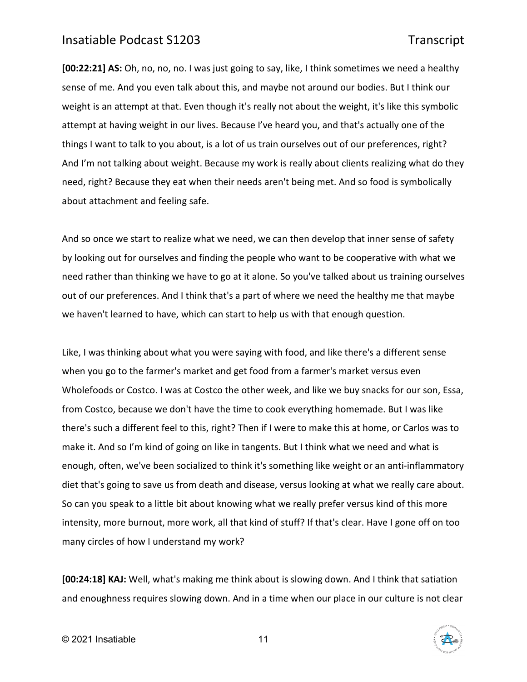**[00:22:21] AS:** Oh, no, no, no. I was just going to say, like, I think sometimes we need a healthy sense of me. And you even talk about this, and maybe not around our bodies. But I think our weight is an attempt at that. Even though it's really not about the weight, it's like this symbolic attempt at having weight in our lives. Because I've heard you, and that's actually one of the things I want to talk to you about, is a lot of us train ourselves out of our preferences, right? And I'm not talking about weight. Because my work is really about clients realizing what do they need, right? Because they eat when their needs aren't being met. And so food is symbolically about attachment and feeling safe.

And so once we start to realize what we need, we can then develop that inner sense of safety by looking out for ourselves and finding the people who want to be cooperative with what we need rather than thinking we have to go at it alone. So you've talked about us training ourselves out of our preferences. And I think that's a part of where we need the healthy me that maybe we haven't learned to have, which can start to help us with that enough question.

Like, I was thinking about what you were saying with food, and like there's a different sense when you go to the farmer's market and get food from a farmer's market versus even Wholefoods or Costco. I was at Costco the other week, and like we buy snacks for our son, Essa, from Costco, because we don't have the time to cook everything homemade. But I was like there's such a different feel to this, right? Then if I were to make this at home, or Carlos was to make it. And so I'm kind of going on like in tangents. But I think what we need and what is enough, often, we've been socialized to think it's something like weight or an anti-inflammatory diet that's going to save us from death and disease, versus looking at what we really care about. So can you speak to a little bit about knowing what we really prefer versus kind of this more intensity, more burnout, more work, all that kind of stuff? If that's clear. Have I gone off on too many circles of how I understand my work?

**[00:24:18] KAJ:** Well, what's making me think about is slowing down. And I think that satiation and enoughness requires slowing down. And in a time when our place in our culture is not clear

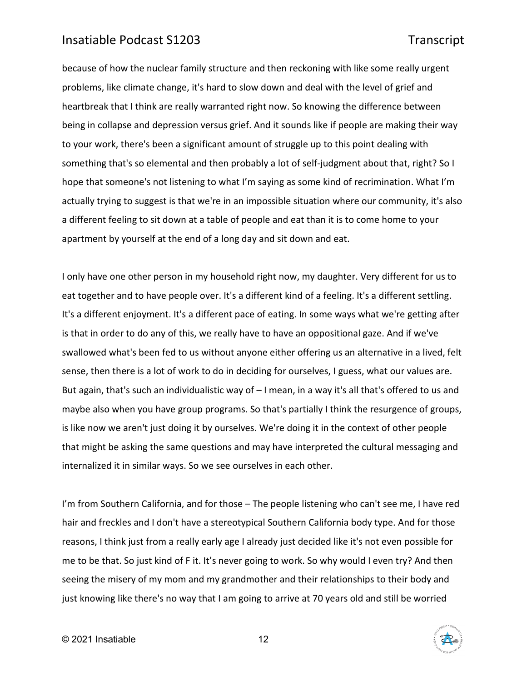because of how the nuclear family structure and then reckoning with like some really urgent problems, like climate change, it's hard to slow down and deal with the level of grief and heartbreak that I think are really warranted right now. So knowing the difference between being in collapse and depression versus grief. And it sounds like if people are making their way to your work, there's been a significant amount of struggle up to this point dealing with something that's so elemental and then probably a lot of self-judgment about that, right? So I hope that someone's not listening to what I'm saying as some kind of recrimination. What I'm actually trying to suggest is that we're in an impossible situation where our community, it's also a different feeling to sit down at a table of people and eat than it is to come home to your apartment by yourself at the end of a long day and sit down and eat.

I only have one other person in my household right now, my daughter. Very different for us to eat together and to have people over. It's a different kind of a feeling. It's a different settling. It's a different enjoyment. It's a different pace of eating. In some ways what we're getting after is that in order to do any of this, we really have to have an oppositional gaze. And if we've swallowed what's been fed to us without anyone either offering us an alternative in a lived, felt sense, then there is a lot of work to do in deciding for ourselves, I guess, what our values are. But again, that's such an individualistic way of – I mean, in a way it's all that's offered to us and maybe also when you have group programs. So that's partially I think the resurgence of groups, is like now we aren't just doing it by ourselves. We're doing it in the context of other people that might be asking the same questions and may have interpreted the cultural messaging and internalized it in similar ways. So we see ourselves in each other.

I'm from Southern California, and for those - The people listening who can't see me, I have red hair and freckles and I don't have a stereotypical Southern California body type. And for those reasons, I think just from a really early age I already just decided like it's not even possible for me to be that. So just kind of F it. It's never going to work. So why would I even try? And then seeing the misery of my mom and my grandmother and their relationships to their body and just knowing like there's no way that I am going to arrive at 70 years old and still be worried

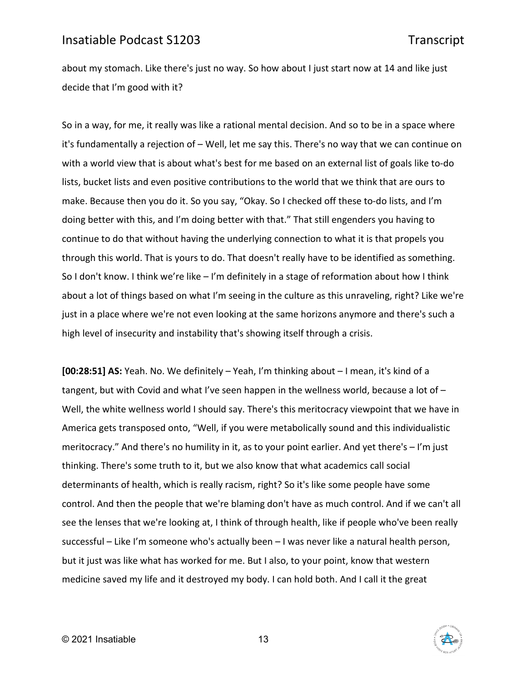about my stomach. Like there's just no way. So how about I just start now at 14 and like just decide that I'm good with it?

So in a way, for me, it really was like a rational mental decision. And so to be in a space where it's fundamentally a rejection of – Well, let me say this. There's no way that we can continue on with a world view that is about what's best for me based on an external list of goals like to-do lists, bucket lists and even positive contributions to the world that we think that are ours to make. Because then you do it. So you say, "Okay. So I checked off these to-do lists, and I'm doing better with this, and I'm doing better with that." That still engenders you having to continue to do that without having the underlying connection to what it is that propels you through this world. That is yours to do. That doesn't really have to be identified as something. So I don't know. I think we're like – I'm definitely in a stage of reformation about how I think about a lot of things based on what I'm seeing in the culture as this unraveling, right? Like we're just in a place where we're not even looking at the same horizons anymore and there's such a high level of insecurity and instability that's showing itself through a crisis.

**[00:28:51] AS:** Yeah. No. We definitely – Yeah, I'm thinking about – I mean, it's kind of a tangent, but with Covid and what I've seen happen in the wellness world, because a lot of -Well, the white wellness world I should say. There's this meritocracy viewpoint that we have in America gets transposed onto, "Well, if you were metabolically sound and this individualistic meritocracy." And there's no humility in it, as to your point earlier. And yet there's – I'm just thinking. There's some truth to it, but we also know that what academics call social determinants of health, which is really racism, right? So it's like some people have some control. And then the people that we're blaming don't have as much control. And if we can't all see the lenses that we're looking at, I think of through health, like if people who've been really successful – Like I'm someone who's actually been – I was never like a natural health person, but it just was like what has worked for me. But I also, to your point, know that western medicine saved my life and it destroyed my body. I can hold both. And I call it the great

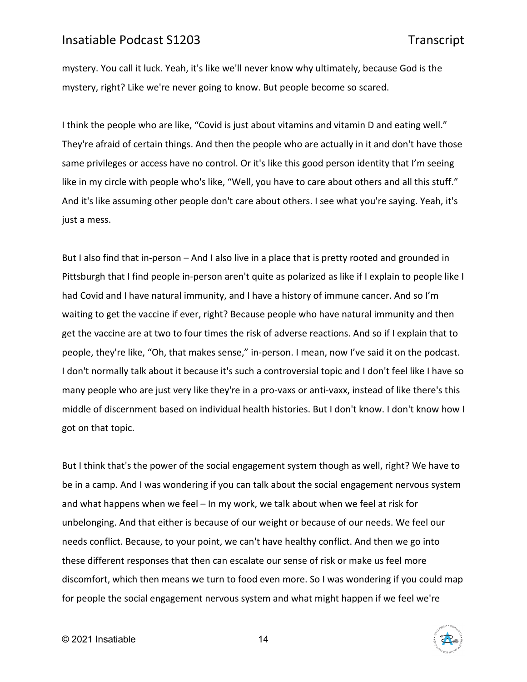mystery. You call it luck. Yeah, it's like we'll never know why ultimately, because God is the mystery, right? Like we're never going to know. But people become so scared.

I think the people who are like, "Covid is just about vitamins and vitamin D and eating well." They're afraid of certain things. And then the people who are actually in it and don't have those same privileges or access have no control. Or it's like this good person identity that I'm seeing like in my circle with people who's like, "Well, you have to care about others and all this stuff." And it's like assuming other people don't care about others. I see what you're saying. Yeah, it's just a mess.

But I also find that in-person – And I also live in a place that is pretty rooted and grounded in Pittsburgh that I find people in-person aren't quite as polarized as like if I explain to people like I had Covid and I have natural immunity, and I have a history of immune cancer. And so I'm waiting to get the vaccine if ever, right? Because people who have natural immunity and then get the vaccine are at two to four times the risk of adverse reactions. And so if I explain that to people, they're like, "Oh, that makes sense," in-person. I mean, now I've said it on the podcast. I don't normally talk about it because it's such a controversial topic and I don't feel like I have so many people who are just very like they're in a pro-vaxs or anti-vaxx, instead of like there's this middle of discernment based on individual health histories. But I don't know. I don't know how I got on that topic.

But I think that's the power of the social engagement system though as well, right? We have to be in a camp. And I was wondering if you can talk about the social engagement nervous system and what happens when we feel – In my work, we talk about when we feel at risk for unbelonging. And that either is because of our weight or because of our needs. We feel our needs conflict. Because, to your point, we can't have healthy conflict. And then we go into these different responses that then can escalate our sense of risk or make us feel more discomfort, which then means we turn to food even more. So I was wondering if you could map for people the social engagement nervous system and what might happen if we feel we're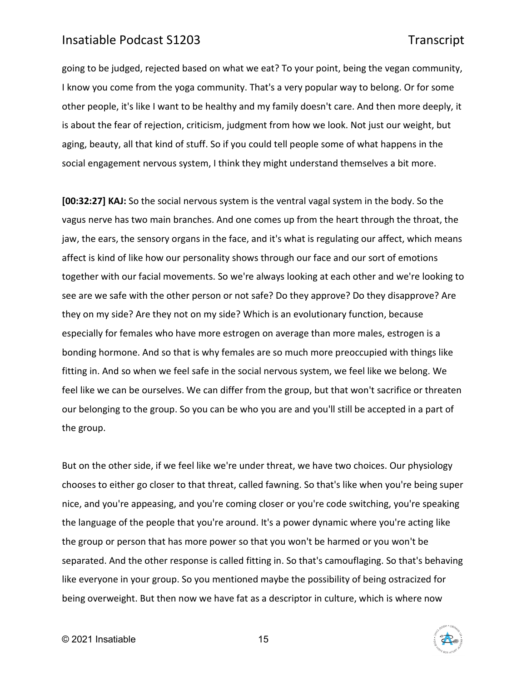going to be judged, rejected based on what we eat? To your point, being the vegan community, I know you come from the yoga community. That's a very popular way to belong. Or for some other people, it's like I want to be healthy and my family doesn't care. And then more deeply, it is about the fear of rejection, criticism, judgment from how we look. Not just our weight, but aging, beauty, all that kind of stuff. So if you could tell people some of what happens in the social engagement nervous system, I think they might understand themselves a bit more.

**[00:32:27] KAJ:** So the social nervous system is the ventral vagal system in the body. So the vagus nerve has two main branches. And one comes up from the heart through the throat, the jaw, the ears, the sensory organs in the face, and it's what is regulating our affect, which means affect is kind of like how our personality shows through our face and our sort of emotions together with our facial movements. So we're always looking at each other and we're looking to see are we safe with the other person or not safe? Do they approve? Do they disapprove? Are they on my side? Are they not on my side? Which is an evolutionary function, because especially for females who have more estrogen on average than more males, estrogen is a bonding hormone. And so that is why females are so much more preoccupied with things like fitting in. And so when we feel safe in the social nervous system, we feel like we belong. We feel like we can be ourselves. We can differ from the group, but that won't sacrifice or threaten our belonging to the group. So you can be who you are and you'll still be accepted in a part of the group.

But on the other side, if we feel like we're under threat, we have two choices. Our physiology chooses to either go closer to that threat, called fawning. So that's like when you're being super nice, and you're appeasing, and you're coming closer or you're code switching, you're speaking the language of the people that you're around. It's a power dynamic where you're acting like the group or person that has more power so that you won't be harmed or you won't be separated. And the other response is called fitting in. So that's camouflaging. So that's behaving like everyone in your group. So you mentioned maybe the possibility of being ostracized for being overweight. But then now we have fat as a descriptor in culture, which is where now

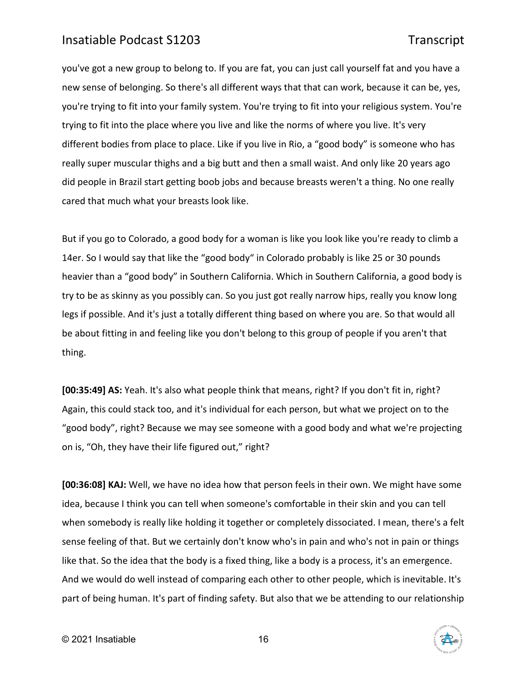you've got a new group to belong to. If you are fat, you can just call yourself fat and you have a new sense of belonging. So there's all different ways that that can work, because it can be, yes, you're trying to fit into your family system. You're trying to fit into your religious system. You're trying to fit into the place where you live and like the norms of where you live. It's very different bodies from place to place. Like if you live in Rio, a "good body" is someone who has really super muscular thighs and a big butt and then a small waist. And only like 20 years ago did people in Brazil start getting boob jobs and because breasts weren't a thing. No one really cared that much what your breasts look like.

But if you go to Colorado, a good body for a woman is like you look like you're ready to climb a 14er. So I would say that like the "good body" in Colorado probably is like 25 or 30 pounds heavier than a "good body" in Southern California. Which in Southern California, a good body is try to be as skinny as you possibly can. So you just got really narrow hips, really you know long legs if possible. And it's just a totally different thing based on where you are. So that would all be about fitting in and feeling like you don't belong to this group of people if you aren't that thing.

**[00:35:49] AS:** Yeah. It's also what people think that means, right? If you don't fit in, right? Again, this could stack too, and it's individual for each person, but what we project on to the "good body", right? Because we may see someone with a good body and what we're projecting on is, "Oh, they have their life figured out," right?

**[00:36:08] KAJ:** Well, we have no idea how that person feels in their own. We might have some idea, because I think you can tell when someone's comfortable in their skin and you can tell when somebody is really like holding it together or completely dissociated. I mean, there's a felt sense feeling of that. But we certainly don't know who's in pain and who's not in pain or things like that. So the idea that the body is a fixed thing, like a body is a process, it's an emergence. And we would do well instead of comparing each other to other people, which is inevitable. It's part of being human. It's part of finding safety. But also that we be attending to our relationship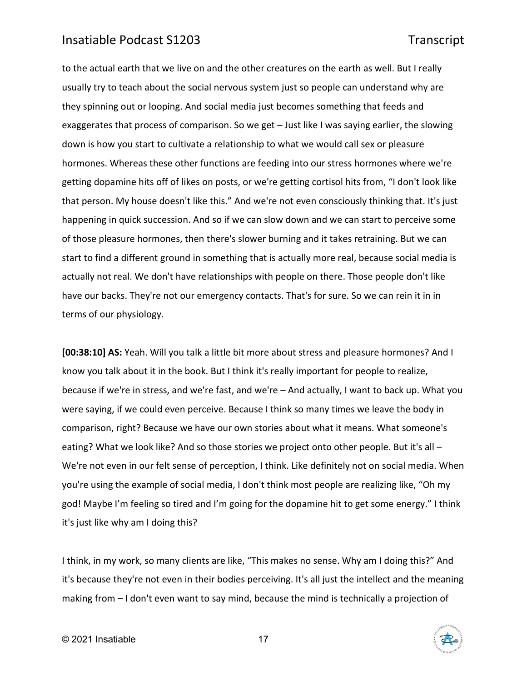to the actual earth that we live on and the other creatures on the earth as well. But I really usually try to teach about the social nervous system just so people can understand why are they spinning out or looping. And social media just becomes something that feeds and exaggerates that process of comparison. So we get – Just like I was saying earlier, the slowing down is how you start to cultivate a relationship to what we would call sex or pleasure hormones. Whereas these other functions are feeding into our stress hormones where we're getting dopamine hits off of likes on posts, or we're getting cortisol hits from, "I don't look like that person. My house doesn't like this." And we're not even consciously thinking that. It's just happening in quick succession. And so if we can slow down and we can start to perceive some of those pleasure hormones, then there's slower burning and it takes retraining. But we can start to find a different ground in something that is actually more real, because social media is actually not real. We don't have relationships with people on there. Those people don't like have our backs. They're not our emergency contacts. That's for sure. So we can rein it in in terms of our physiology.

**[00:38:10] AS:** Yeah. Will you talk a little bit more about stress and pleasure hormones? And I know you talk about it in the book. But I think it's really important for people to realize, because if we're in stress, and we're fast, and we're – And actually, I want to back up. What you were saying, if we could even perceive. Because I think so many times we leave the body in comparison, right? Because we have our own stories about what it means. What someone's eating? What we look like? And so those stories we project onto other people. But it's all -We're not even in our felt sense of perception, I think. Like definitely not on social media. When you're using the example of social media, I don't think most people are realizing like, "Oh my god! Maybe I'm feeling so tired and I'm going for the dopamine hit to get some energy." I think it's just like why am I doing this?

I think, in my work, so many clients are like, "This makes no sense. Why am I doing this?" And it's because they're not even in their bodies perceiving. It's all just the intellect and the meaning making from – I don't even want to say mind, because the mind is technically a projection of

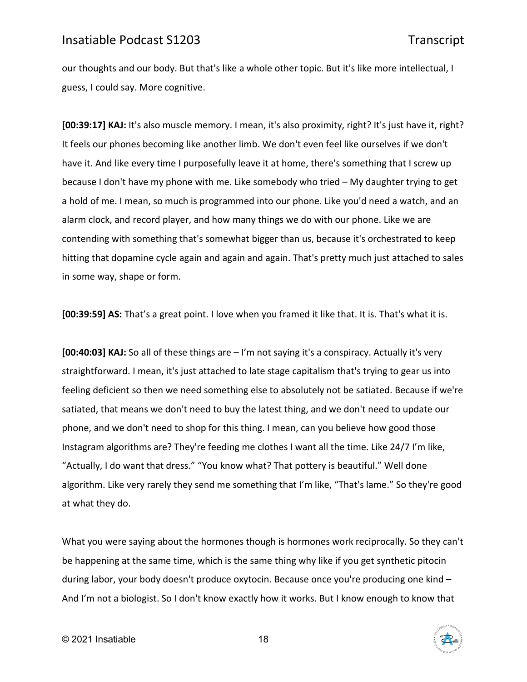our thoughts and our body. But that's like a whole other topic. But it's like more intellectual, I guess, I could say. More cognitive.

**[00:39:17] KAJ:** It's also muscle memory. I mean, it's also proximity, right? It's just have it, right? It feels our phones becoming like another limb. We don't even feel like ourselves if we don't have it. And like every time I purposefully leave it at home, there's something that I screw up because I don't have my phone with me. Like somebody who tried – My daughter trying to get a hold of me. I mean, so much is programmed into our phone. Like you'd need a watch, and an alarm clock, and record player, and how many things we do with our phone. Like we are contending with something that's somewhat bigger than us, because it's orchestrated to keep hitting that dopamine cycle again and again and again. That's pretty much just attached to sales in some way, shape or form.

**[00:39:59] AS:** That's a great point. I love when you framed it like that. It is. That's what it is.

**[00:40:03] KAJ:** So all of these things are – I'm not saying it's a conspiracy. Actually it's very straightforward. I mean, it's just attached to late stage capitalism that's trying to gear us into feeling deficient so then we need something else to absolutely not be satiated. Because if we're satiated, that means we don't need to buy the latest thing, and we don't need to update our phone, and we don't need to shop for this thing. I mean, can you believe how good those Instagram algorithms are? They're feeding me clothes I want all the time. Like 24/7 I'm like, "Actually, I do want that dress." "You know what? That pottery is beautiful." Well done algorithm. Like very rarely they send me something that I'm like, "That's lame." So they're good at what they do.

What you were saying about the hormones though is hormones work reciprocally. So they can't be happening at the same time, which is the same thing why like if you get synthetic pitocin during labor, your body doesn't produce oxytocin. Because once you're producing one kind – And I'm not a biologist. So I don't know exactly how it works. But I know enough to know that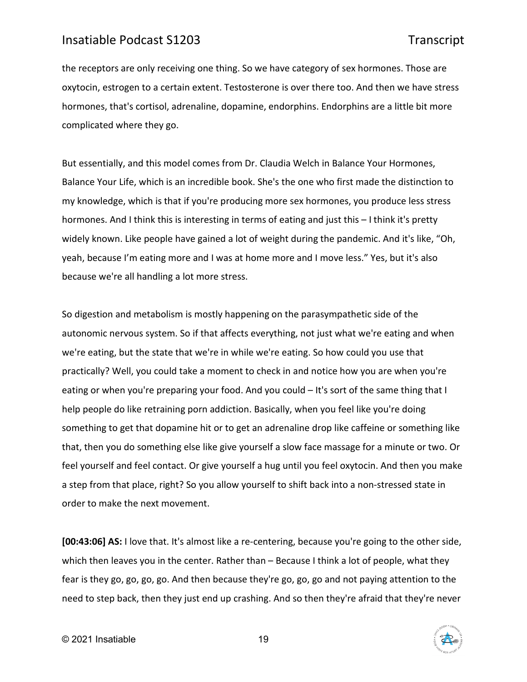the receptors are only receiving one thing. So we have category of sex hormones. Those are oxytocin, estrogen to a certain extent. Testosterone is over there too. And then we have stress hormones, that's cortisol, adrenaline, dopamine, endorphins. Endorphins are a little bit more complicated where they go.

But essentially, and this model comes from Dr. Claudia Welch in Balance Your Hormones, Balance Your Life, which is an incredible book. She's the one who first made the distinction to my knowledge, which is that if you're producing more sex hormones, you produce less stress hormones. And I think this is interesting in terms of eating and just this – I think it's pretty widely known. Like people have gained a lot of weight during the pandemic. And it's like, "Oh, yeah, because I'm eating more and I was at home more and I move less." Yes, but it's also because we're all handling a lot more stress.

So digestion and metabolism is mostly happening on the parasympathetic side of the autonomic nervous system. So if that affects everything, not just what we're eating and when we're eating, but the state that we're in while we're eating. So how could you use that practically? Well, you could take a moment to check in and notice how you are when you're eating or when you're preparing your food. And you could – It's sort of the same thing that I help people do like retraining porn addiction. Basically, when you feel like you're doing something to get that dopamine hit or to get an adrenaline drop like caffeine or something like that, then you do something else like give yourself a slow face massage for a minute or two. Or feel yourself and feel contact. Or give yourself a hug until you feel oxytocin. And then you make a step from that place, right? So you allow yourself to shift back into a non-stressed state in order to make the next movement.

**[00:43:06] AS:** I love that. It's almost like a re-centering, because you're going to the other side, which then leaves you in the center. Rather than – Because I think a lot of people, what they fear is they go, go, go, go. And then because they're go, go, go and not paying attention to the need to step back, then they just end up crashing. And so then they're afraid that they're never

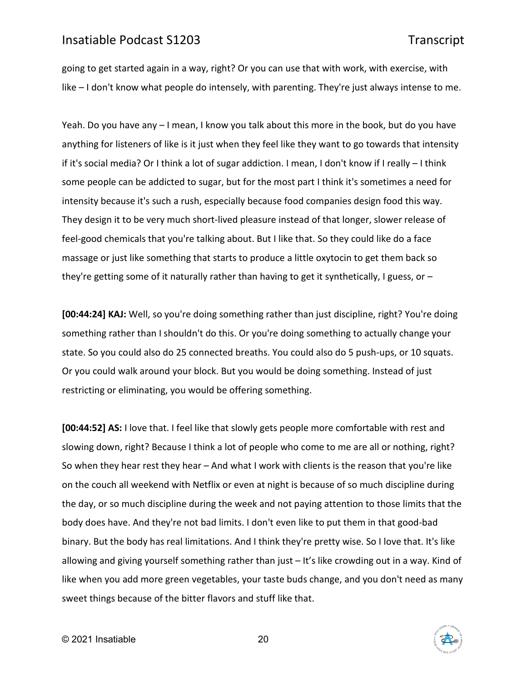going to get started again in a way, right? Or you can use that with work, with exercise, with like – I don't know what people do intensely, with parenting. They're just always intense to me.

Yeah. Do you have any – I mean, I know you talk about this more in the book, but do you have anything for listeners of like is it just when they feel like they want to go towards that intensity if it's social media? Or I think a lot of sugar addiction. I mean, I don't know if I really – I think some people can be addicted to sugar, but for the most part I think it's sometimes a need for intensity because it's such a rush, especially because food companies design food this way. They design it to be very much short-lived pleasure instead of that longer, slower release of feel-good chemicals that you're talking about. But I like that. So they could like do a face massage or just like something that starts to produce a little oxytocin to get them back so they're getting some of it naturally rather than having to get it synthetically, I guess, or  $-$ 

**[00:44:24] KAJ:** Well, so you're doing something rather than just discipline, right? You're doing something rather than I shouldn't do this. Or you're doing something to actually change your state. So you could also do 25 connected breaths. You could also do 5 push-ups, or 10 squats. Or you could walk around your block. But you would be doing something. Instead of just restricting or eliminating, you would be offering something.

**[00:44:52] AS:** I love that. I feel like that slowly gets people more comfortable with rest and slowing down, right? Because I think a lot of people who come to me are all or nothing, right? So when they hear rest they hear – And what I work with clients is the reason that you're like on the couch all weekend with Netflix or even at night is because of so much discipline during the day, or so much discipline during the week and not paying attention to those limits that the body does have. And they're not bad limits. I don't even like to put them in that good-bad binary. But the body has real limitations. And I think they're pretty wise. So I love that. It's like allowing and giving yourself something rather than just – It's like crowding out in a way. Kind of like when you add more green vegetables, your taste buds change, and you don't need as many sweet things because of the bitter flavors and stuff like that.

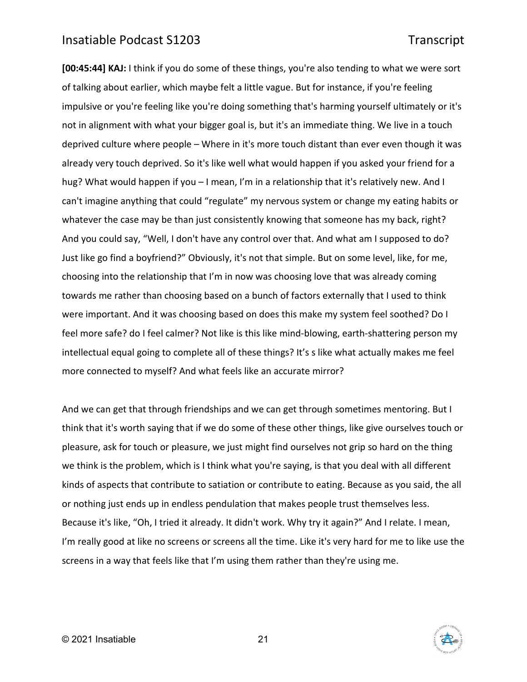**[00:45:44] KAJ:** I think if you do some of these things, you're also tending to what we were sort of talking about earlier, which maybe felt a little vague. But for instance, if you're feeling impulsive or you're feeling like you're doing something that's harming yourself ultimately or it's not in alignment with what your bigger goal is, but it's an immediate thing. We live in a touch deprived culture where people – Where in it's more touch distant than ever even though it was already very touch deprived. So it's like well what would happen if you asked your friend for a hug? What would happen if you - I mean, I'm in a relationship that it's relatively new. And I can't imagine anything that could "regulate" my nervous system or change my eating habits or whatever the case may be than just consistently knowing that someone has my back, right? And you could say, "Well, I don't have any control over that. And what am I supposed to do? Just like go find a boyfriend?" Obviously, it's not that simple. But on some level, like, for me, choosing into the relationship that I'm in now was choosing love that was already coming towards me rather than choosing based on a bunch of factors externally that I used to think were important. And it was choosing based on does this make my system feel soothed? Do I feel more safe? do I feel calmer? Not like is this like mind-blowing, earth-shattering person my intellectual equal going to complete all of these things? It's s like what actually makes me feel more connected to myself? And what feels like an accurate mirror?

And we can get that through friendships and we can get through sometimes mentoring. But I think that it's worth saying that if we do some of these other things, like give ourselves touch or pleasure, ask for touch or pleasure, we just might find ourselves not grip so hard on the thing we think is the problem, which is I think what you're saying, is that you deal with all different kinds of aspects that contribute to satiation or contribute to eating. Because as you said, the all or nothing just ends up in endless pendulation that makes people trust themselves less. Because it's like, "Oh, I tried it already. It didn't work. Why try it again?" And I relate. I mean, I'm really good at like no screens or screens all the time. Like it's very hard for me to like use the screens in a way that feels like that I'm using them rather than they're using me.

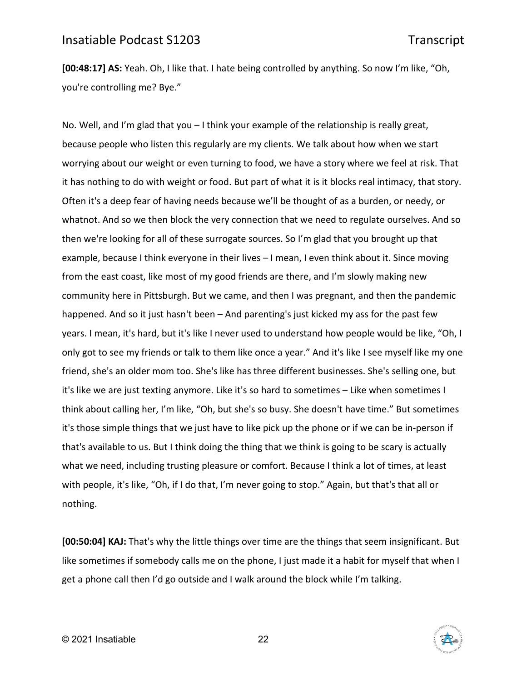**[00:48:17] AS:** Yeah. Oh, I like that. I hate being controlled by anything. So now I'm like, "Oh, you're controlling me? Bye."

No. Well, and I'm glad that you – I think your example of the relationship is really great, because people who listen this regularly are my clients. We talk about how when we start worrying about our weight or even turning to food, we have a story where we feel at risk. That it has nothing to do with weight or food. But part of what it is it blocks real intimacy, that story. Often it's a deep fear of having needs because we'll be thought of as a burden, or needy, or whatnot. And so we then block the very connection that we need to regulate ourselves. And so then we're looking for all of these surrogate sources. So I'm glad that you brought up that example, because I think everyone in their lives – I mean, I even think about it. Since moving from the east coast, like most of my good friends are there, and I'm slowly making new community here in Pittsburgh. But we came, and then I was pregnant, and then the pandemic happened. And so it just hasn't been – And parenting's just kicked my ass for the past few years. I mean, it's hard, but it's like I never used to understand how people would be like, "Oh, I only got to see my friends or talk to them like once a year." And it's like I see myself like my one friend, she's an older mom too. She's like has three different businesses. She's selling one, but it's like we are just texting anymore. Like it's so hard to sometimes – Like when sometimes I think about calling her, I'm like, "Oh, but she's so busy. She doesn't have time." But sometimes it's those simple things that we just have to like pick up the phone or if we can be in-person if that's available to us. But I think doing the thing that we think is going to be scary is actually what we need, including trusting pleasure or comfort. Because I think a lot of times, at least with people, it's like, "Oh, if I do that, I'm never going to stop." Again, but that's that all or nothing.

**[00:50:04] KAJ:** That's why the little things over time are the things that seem insignificant. But like sometimes if somebody calls me on the phone, I just made it a habit for myself that when I get a phone call then I'd go outside and I walk around the block while I'm talking.

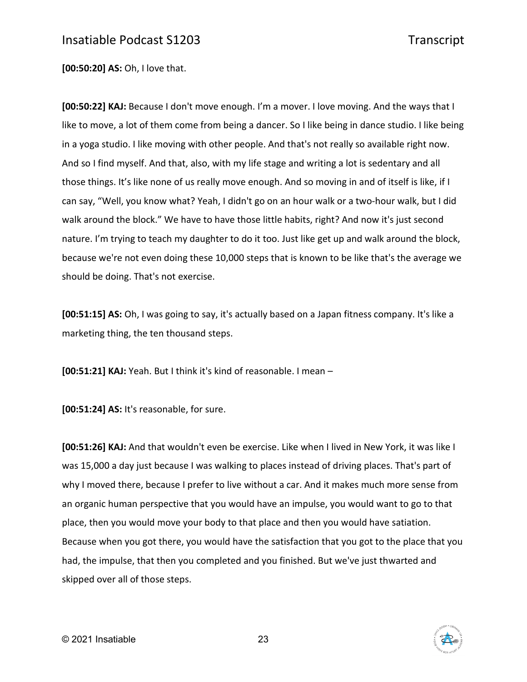**[00:50:20] AS:** Oh, I love that.

**[00:50:22] KAJ:** Because I don't move enough. I'm a mover. I love moving. And the ways that I like to move, a lot of them come from being a dancer. So I like being in dance studio. I like being in a yoga studio. I like moving with other people. And that's not really so available right now. And so I find myself. And that, also, with my life stage and writing a lot is sedentary and all those things. It's like none of us really move enough. And so moving in and of itself is like, if I can say, "Well, you know what? Yeah, I didn't go on an hour walk or a two-hour walk, but I did walk around the block." We have to have those little habits, right? And now it's just second nature. I'm trying to teach my daughter to do it too. Just like get up and walk around the block, because we're not even doing these 10,000 steps that is known to be like that's the average we should be doing. That's not exercise.

**[00:51:15] AS:** Oh, I was going to say, it's actually based on a Japan fitness company. It's like a marketing thing, the ten thousand steps.

**[00:51:21] KAJ:** Yeah. But I think it's kind of reasonable. I mean –

**[00:51:24] AS:** It's reasonable, for sure.

**[00:51:26] KAJ:** And that wouldn't even be exercise. Like when I lived in New York, it was like I was 15,000 a day just because I was walking to places instead of driving places. That's part of why I moved there, because I prefer to live without a car. And it makes much more sense from an organic human perspective that you would have an impulse, you would want to go to that place, then you would move your body to that place and then you would have satiation. Because when you got there, you would have the satisfaction that you got to the place that you had, the impulse, that then you completed and you finished. But we've just thwarted and skipped over all of those steps.

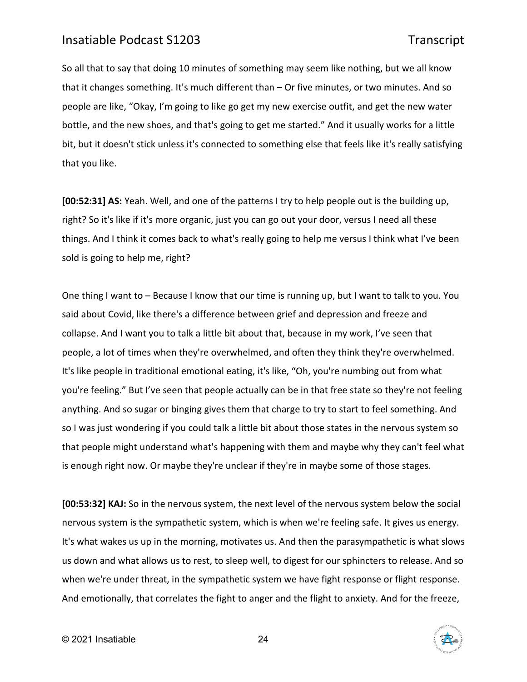So all that to say that doing 10 minutes of something may seem like nothing, but we all know that it changes something. It's much different than – Or five minutes, or two minutes. And so people are like, "Okay, I'm going to like go get my new exercise outfit, and get the new water bottle, and the new shoes, and that's going to get me started." And it usually works for a little bit, but it doesn't stick unless it's connected to something else that feels like it's really satisfying that you like.

**[00:52:31] AS:** Yeah. Well, and one of the patterns I try to help people out is the building up, right? So it's like if it's more organic, just you can go out your door, versus I need all these things. And I think it comes back to what's really going to help me versus I think what I've been sold is going to help me, right?

One thing I want to – Because I know that our time is running up, but I want to talk to you. You said about Covid, like there's a difference between grief and depression and freeze and collapse. And I want you to talk a little bit about that, because in my work, I've seen that people, a lot of times when they're overwhelmed, and often they think they're overwhelmed. It's like people in traditional emotional eating, it's like, "Oh, you're numbing out from what you're feeling." But I've seen that people actually can be in that free state so they're not feeling anything. And so sugar or binging gives them that charge to try to start to feel something. And so I was just wondering if you could talk a little bit about those states in the nervous system so that people might understand what's happening with them and maybe why they can't feel what is enough right now. Or maybe they're unclear if they're in maybe some of those stages.

**[00:53:32] KAJ:** So in the nervous system, the next level of the nervous system below the social nervous system is the sympathetic system, which is when we're feeling safe. It gives us energy. It's what wakes us up in the morning, motivates us. And then the parasympathetic is what slows us down and what allows us to rest, to sleep well, to digest for our sphincters to release. And so when we're under threat, in the sympathetic system we have fight response or flight response. And emotionally, that correlates the fight to anger and the flight to anxiety. And for the freeze,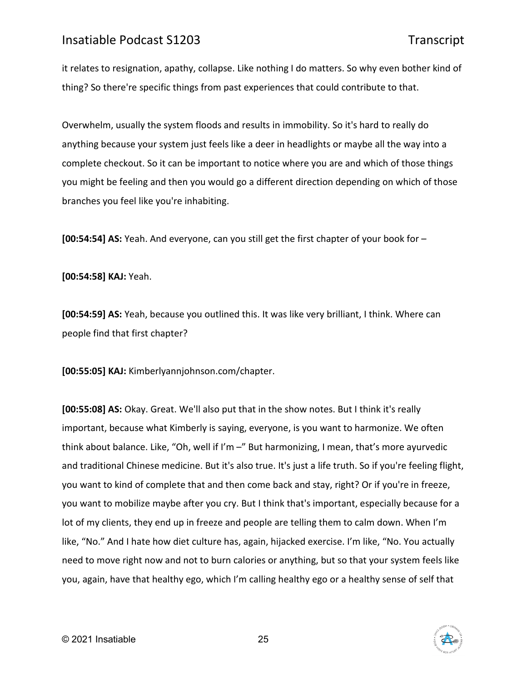it relates to resignation, apathy, collapse. Like nothing I do matters. So why even bother kind of thing? So there're specific things from past experiences that could contribute to that.

Overwhelm, usually the system floods and results in immobility. So it's hard to really do anything because your system just feels like a deer in headlights or maybe all the way into a complete checkout. So it can be important to notice where you are and which of those things you might be feeling and then you would go a different direction depending on which of those branches you feel like you're inhabiting.

**[00:54:54] AS:** Yeah. And everyone, can you still get the first chapter of your book for –

**[00:54:58] KAJ:** Yeah.

**[00:54:59] AS:** Yeah, because you outlined this. It was like very brilliant, I think. Where can people find that first chapter?

**[00:55:05] KAJ:** Kimberlyannjohnson.com/chapter.

**[00:55:08] AS:** Okay. Great. We'll also put that in the show notes. But I think it's really important, because what Kimberly is saying, everyone, is you want to harmonize. We often think about balance. Like, "Oh, well if I'm –" But harmonizing, I mean, that's more ayurvedic and traditional Chinese medicine. But it's also true. It's just a life truth. So if you're feeling flight, you want to kind of complete that and then come back and stay, right? Or if you're in freeze, you want to mobilize maybe after you cry. But I think that's important, especially because for a lot of my clients, they end up in freeze and people are telling them to calm down. When I'm like, "No." And I hate how diet culture has, again, hijacked exercise. I'm like, "No. You actually need to move right now and not to burn calories or anything, but so that your system feels like you, again, have that healthy ego, which I'm calling healthy ego or a healthy sense of self that

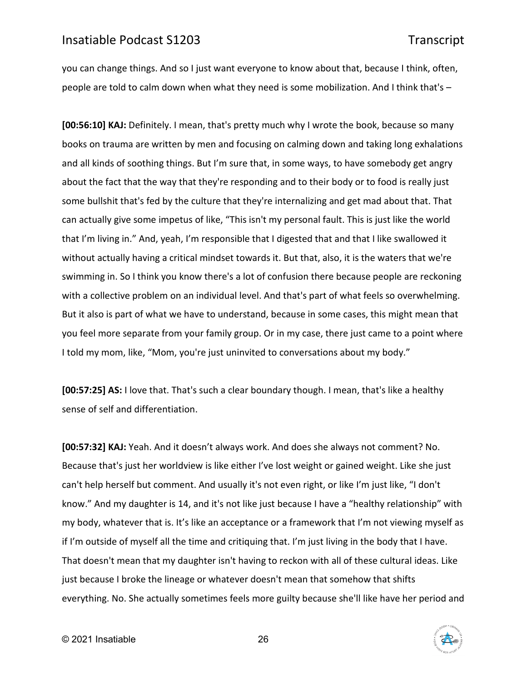you can change things. And so I just want everyone to know about that, because I think, often, people are told to calm down when what they need is some mobilization. And I think that's –

**[00:56:10] KAJ:** Definitely. I mean, that's pretty much why I wrote the book, because so many books on trauma are written by men and focusing on calming down and taking long exhalations and all kinds of soothing things. But I'm sure that, in some ways, to have somebody get angry about the fact that the way that they're responding and to their body or to food is really just some bullshit that's fed by the culture that they're internalizing and get mad about that. That can actually give some impetus of like, "This isn't my personal fault. This is just like the world that I'm living in." And, yeah, I'm responsible that I digested that and that I like swallowed it without actually having a critical mindset towards it. But that, also, it is the waters that we're swimming in. So I think you know there's a lot of confusion there because people are reckoning with a collective problem on an individual level. And that's part of what feels so overwhelming. But it also is part of what we have to understand, because in some cases, this might mean that you feel more separate from your family group. Or in my case, there just came to a point where I told my mom, like, "Mom, you're just uninvited to conversations about my body."

**[00:57:25] AS:** I love that. That's such a clear boundary though. I mean, that's like a healthy sense of self and differentiation.

**[00:57:32] KAJ:** Yeah. And it doesn't always work. And does she always not comment? No. Because that's just her worldview is like either I've lost weight or gained weight. Like she just can't help herself but comment. And usually it's not even right, or like I'm just like, "I don't know." And my daughter is 14, and it's not like just because I have a "healthy relationship" with my body, whatever that is. It's like an acceptance or a framework that I'm not viewing myself as if I'm outside of myself all the time and critiquing that. I'm just living in the body that I have. That doesn't mean that my daughter isn't having to reckon with all of these cultural ideas. Like just because I broke the lineage or whatever doesn't mean that somehow that shifts everything. No. She actually sometimes feels more guilty because she'll like have her period and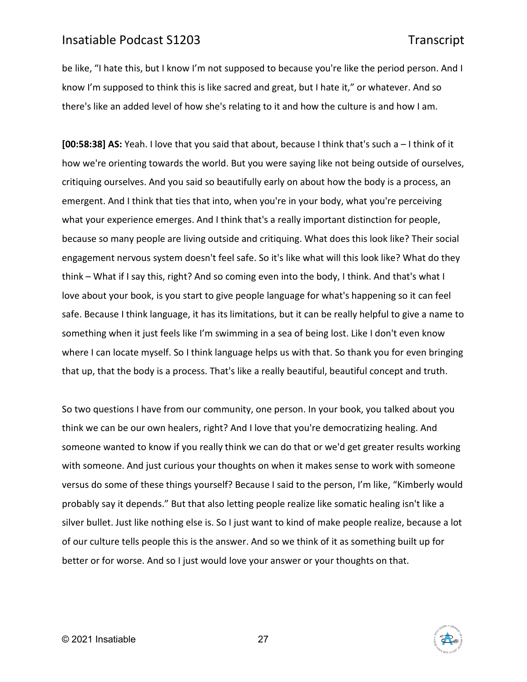be like, "I hate this, but I know I'm not supposed to because you're like the period person. And I know I'm supposed to think this is like sacred and great, but I hate it," or whatever. And so there's like an added level of how she's relating to it and how the culture is and how I am.

**[00:58:38] AS:** Yeah. I love that you said that about, because I think that's such a – I think of it how we're orienting towards the world. But you were saying like not being outside of ourselves, critiquing ourselves. And you said so beautifully early on about how the body is a process, an emergent. And I think that ties that into, when you're in your body, what you're perceiving what your experience emerges. And I think that's a really important distinction for people, because so many people are living outside and critiquing. What does this look like? Their social engagement nervous system doesn't feel safe. So it's like what will this look like? What do they think – What if I say this, right? And so coming even into the body, I think. And that's what I love about your book, is you start to give people language for what's happening so it can feel safe. Because I think language, it has its limitations, but it can be really helpful to give a name to something when it just feels like I'm swimming in a sea of being lost. Like I don't even know where I can locate myself. So I think language helps us with that. So thank you for even bringing that up, that the body is a process. That's like a really beautiful, beautiful concept and truth.

So two questions I have from our community, one person. In your book, you talked about you think we can be our own healers, right? And I love that you're democratizing healing. And someone wanted to know if you really think we can do that or we'd get greater results working with someone. And just curious your thoughts on when it makes sense to work with someone versus do some of these things yourself? Because I said to the person, I'm like, "Kimberly would probably say it depends." But that also letting people realize like somatic healing isn't like a silver bullet. Just like nothing else is. So I just want to kind of make people realize, because a lot of our culture tells people this is the answer. And so we think of it as something built up for better or for worse. And so I just would love your answer or your thoughts on that.

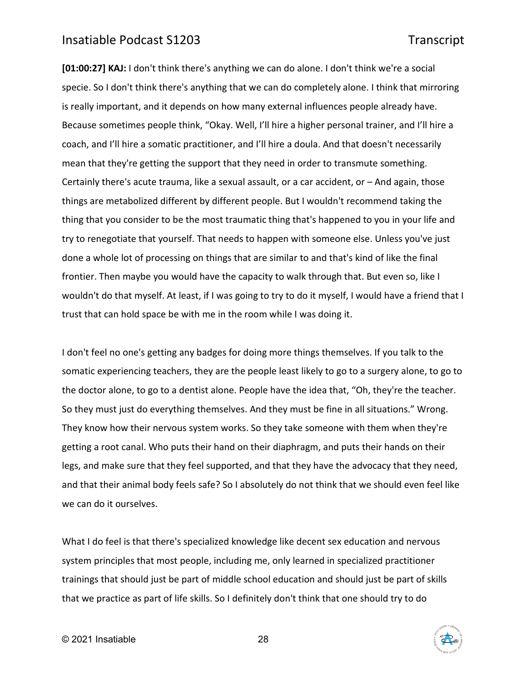**[01:00:27] KAJ:** I don't think there's anything we can do alone. I don't think we're a social specie. So I don't think there's anything that we can do completely alone. I think that mirroring is really important, and it depends on how many external influences people already have. Because sometimes people think, "Okay. Well, I'll hire a higher personal trainer, and I'll hire a coach, and I'll hire a somatic practitioner, and I'll hire a doula. And that doesn't necessarily mean that they're getting the support that they need in order to transmute something. Certainly there's acute trauma, like a sexual assault, or a car accident, or – And again, those things are metabolized different by different people. But I wouldn't recommend taking the thing that you consider to be the most traumatic thing that's happened to you in your life and try to renegotiate that yourself. That needs to happen with someone else. Unless you've just done a whole lot of processing on things that are similar to and that's kind of like the final frontier. Then maybe you would have the capacity to walk through that. But even so, like I wouldn't do that myself. At least, if I was going to try to do it myself, I would have a friend that I trust that can hold space be with me in the room while I was doing it.

I don't feel no one's getting any badges for doing more things themselves. If you talk to the somatic experiencing teachers, they are the people least likely to go to a surgery alone, to go to the doctor alone, to go to a dentist alone. People have the idea that, "Oh, they're the teacher. So they must just do everything themselves. And they must be fine in all situations." Wrong. They know how their nervous system works. So they take someone with them when they're getting a root canal. Who puts their hand on their diaphragm, and puts their hands on their legs, and make sure that they feel supported, and that they have the advocacy that they need, and that their animal body feels safe? So I absolutely do not think that we should even feel like we can do it ourselves.

What I do feel is that there's specialized knowledge like decent sex education and nervous system principles that most people, including me, only learned in specialized practitioner trainings that should just be part of middle school education and should just be part of skills that we practice as part of life skills. So I definitely don't think that one should try to do

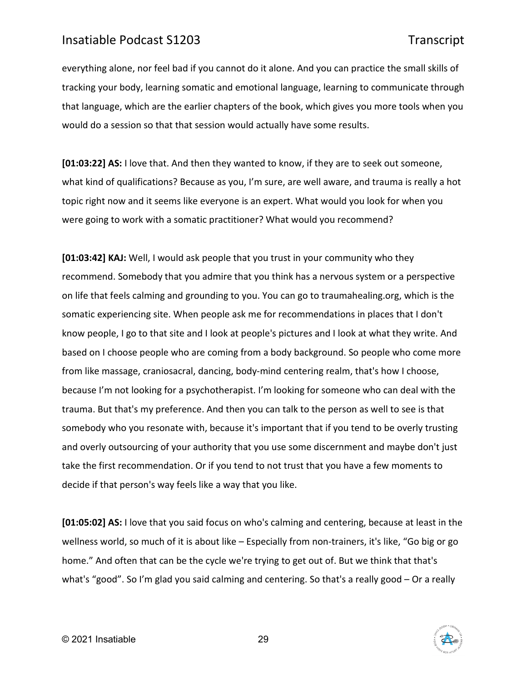everything alone, nor feel bad if you cannot do it alone. And you can practice the small skills of tracking your body, learning somatic and emotional language, learning to communicate through that language, which are the earlier chapters of the book, which gives you more tools when you would do a session so that that session would actually have some results.

**[01:03:22] AS:** I love that. And then they wanted to know, if they are to seek out someone, what kind of qualifications? Because as you, I'm sure, are well aware, and trauma is really a hot topic right now and it seems like everyone is an expert. What would you look for when you were going to work with a somatic practitioner? What would you recommend?

**[01:03:42] KAJ:** Well, I would ask people that you trust in your community who they recommend. Somebody that you admire that you think has a nervous system or a perspective on life that feels calming and grounding to you. You can go to traumahealing.org, which is the somatic experiencing site. When people ask me for recommendations in places that I don't know people, I go to that site and I look at people's pictures and I look at what they write. And based on I choose people who are coming from a body background. So people who come more from like massage, craniosacral, dancing, body-mind centering realm, that's how I choose, because I'm not looking for a psychotherapist. I'm looking for someone who can deal with the trauma. But that's my preference. And then you can talk to the person as well to see is that somebody who you resonate with, because it's important that if you tend to be overly trusting and overly outsourcing of your authority that you use some discernment and maybe don't just take the first recommendation. Or if you tend to not trust that you have a few moments to decide if that person's way feels like a way that you like.

**[01:05:02] AS:** I love that you said focus on who's calming and centering, because at least in the wellness world, so much of it is about like – Especially from non-trainers, it's like, "Go big or go home." And often that can be the cycle we're trying to get out of. But we think that that's what's "good". So I'm glad you said calming and centering. So that's a really good - Or a really

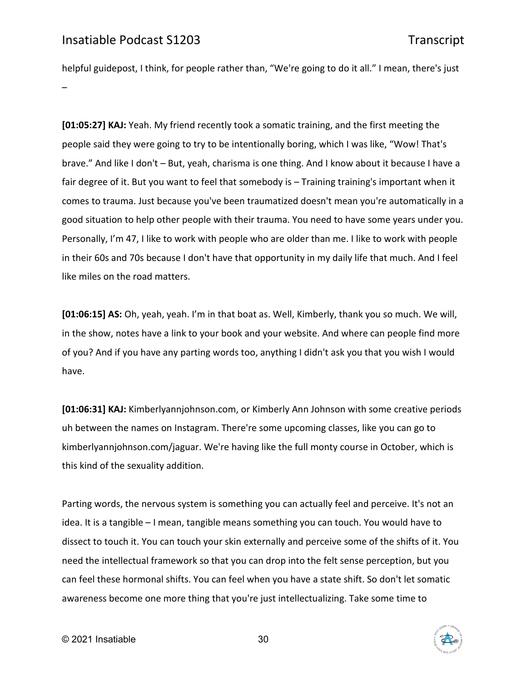helpful guidepost, I think, for people rather than, "We're going to do it all." I mean, there's just –

**[01:05:27] KAJ:** Yeah. My friend recently took a somatic training, and the first meeting the people said they were going to try to be intentionally boring, which I was like, "Wow! That's brave." And like I don't – But, yeah, charisma is one thing. And I know about it because I have a fair degree of it. But you want to feel that somebody is – Training training's important when it comes to trauma. Just because you've been traumatized doesn't mean you're automatically in a good situation to help other people with their trauma. You need to have some years under you. Personally, I'm 47, I like to work with people who are older than me. I like to work with people in their 60s and 70s because I don't have that opportunity in my daily life that much. And I feel like miles on the road matters.

**[01:06:15] AS:** Oh, yeah, yeah. I'm in that boat as. Well, Kimberly, thank you so much. We will, in the show, notes have a link to your book and your website. And where can people find more of you? And if you have any parting words too, anything I didn't ask you that you wish I would have.

**[01:06:31] KAJ:** Kimberlyannjohnson.com, or Kimberly Ann Johnson with some creative periods uh between the names on Instagram. There're some upcoming classes, like you can go to kimberlyannjohnson.com/jaguar. We're having like the full monty course in October, which is this kind of the sexuality addition.

Parting words, the nervous system is something you can actually feel and perceive. It's not an idea. It is a tangible – I mean, tangible means something you can touch. You would have to dissect to touch it. You can touch your skin externally and perceive some of the shifts of it. You need the intellectual framework so that you can drop into the felt sense perception, but you can feel these hormonal shifts. You can feel when you have a state shift. So don't let somatic awareness become one more thing that you're just intellectualizing. Take some time to